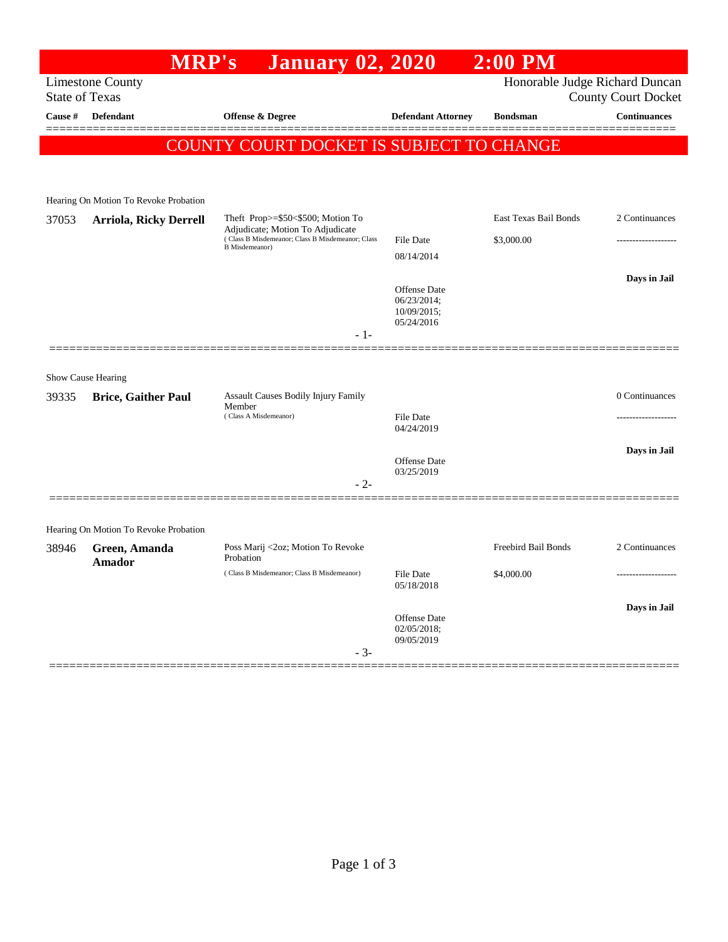## **MRP's January 02, 2020 2:00 PM** Limestone County **Example 2018** 2019 12:00 Honorable Judge Richard Duncan State of Texas County Court Docket **Cause # Defendant Offense & Degree Defendant Attorney Bondsman Continuances** ============================================================================================== COUNTY COURT DOCKET IS SUBJECT TO CHANGE Hearing On Motion To Revoke Probation 37053 **Arriola, Ricky Derrell** Theft Prop>=\$50<\$500; Motion To East Texas Bail Bonds 2 Continuances

| <u>JIUJJ</u> | ALLIOIA, NICKY DULLUI                 | $100p2 = 450$ sector, motion 10<br>Adjudicate; Motion To Adjudicate<br>(Class B Misdemeanor; Class B Misdemeanor; Class<br><b>B</b> Misdemeanor)<br>$-1-$ | <b>File Date</b><br>08/14/2014<br>Offense Date<br>06/23/2014;<br>10/09/2015;<br>05/24/2016 | \$3,000.00          | Days in Jail   |
|--------------|---------------------------------------|-----------------------------------------------------------------------------------------------------------------------------------------------------------|--------------------------------------------------------------------------------------------|---------------------|----------------|
|              | Show Cause Hearing                    |                                                                                                                                                           |                                                                                            |                     |                |
| 39335        | <b>Brice, Gaither Paul</b>            | Assault Causes Bodily Injury Family<br>Member                                                                                                             |                                                                                            |                     | 0 Continuances |
|              |                                       | (Class A Misdemeanor)                                                                                                                                     | <b>File Date</b><br>04/24/2019                                                             |                     |                |
|              |                                       | $-2-$                                                                                                                                                     | Offense Date<br>03/25/2019                                                                 |                     | Days in Jail   |
|              | Hearing On Motion To Revoke Probation |                                                                                                                                                           |                                                                                            |                     |                |
| 38946        | Green, Amanda<br>Amador               | Poss Marij <2oz; Motion To Revoke<br>Probation                                                                                                            |                                                                                            | Freebird Bail Bonds | 2 Continuances |
|              |                                       | (Class B Misdemeanor; Class B Misdemeanor)                                                                                                                | <b>File Date</b><br>05/18/2018                                                             | \$4,000.00          | .              |
|              |                                       | $-3-$                                                                                                                                                     | Offense Date<br>02/05/2018;<br>09/05/2019                                                  |                     | Days in Jail   |
|              |                                       |                                                                                                                                                           |                                                                                            |                     |                |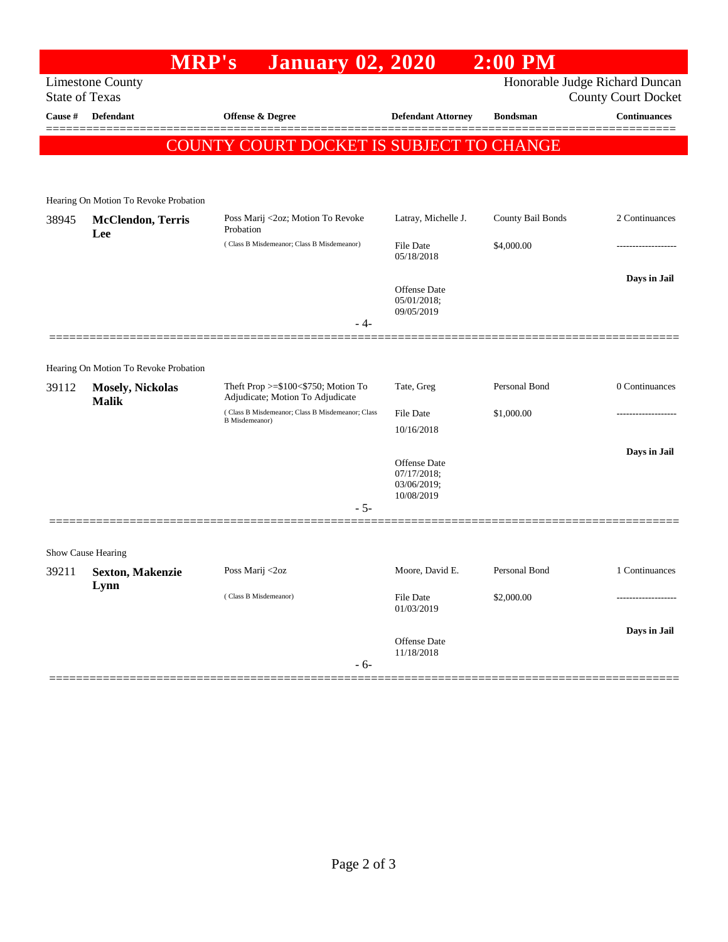## **MRP's January 02, 2020 2:00 PM** Limestone County Honorable Judge Richard Duncan State of Texas County Court Docket **Cause # Defendant Offense & Degree Defendant Attorney Bondsman Continuances** ============================================================================================== COUNTY COURT DOCKET IS SUBJECT TO CHANGE Hearing On Motion To Revoke Probation 38945 **McClendon, Terris Lee** Poss Marij <2oz; Motion To Revoke Probation Latray, Michelle J. County Bail Bonds 2 Continuances ( Class B Misdemeanor; Class B Misdemeanor) File Date \$4,000.00 05/18/2018 **Days in Jail**  Offense Date 05/01/2018; 09/05/2019 - 4- ============================================================================================== Hearing On Motion To Revoke Probation 39112 **Mosely, Nickolas Malik** Theft Prop >=\$100<\$750; Motion To Adjudicate; Motion To Adjudicate Tate, Greg Personal Bond 0 Continuances ( Class B Misdemeanor; Class B Misdemeanor; Class B Misdemeanor) File Date \$1,000.00 10/16/2018 **Days in Jail**  Offense Date 07/17/2018; 03/06/2019; 10/08/2019 - 5- ============================================================================================== Show Cause Hearing 39211 **Sexton, Makenzie Lynn** Poss Marij <2oz Moore, David E. Personal Bond 1 Continuances ( Class B Misdemeanor) File Date \$2,000.00 ------------------- 01/03/2019 **Days in Jail**  Offense Date 11/18/2018 - 6- ==============================================================================================